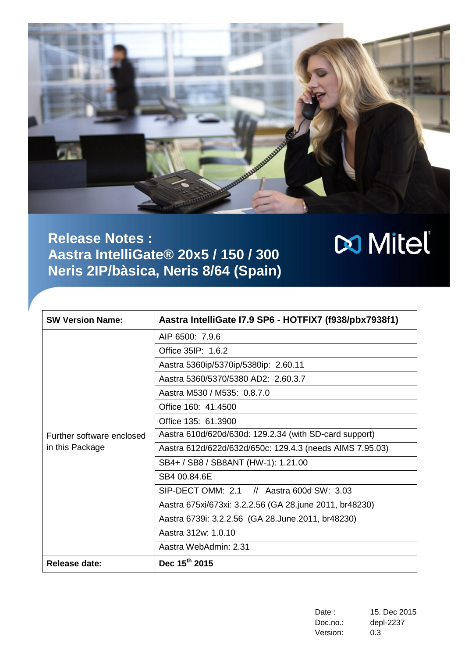

# **Release Notes : Aastra IntelliGate® 20x5 / 150 / 300 Neris 2IP/bàsica, Neris 8/64 (Spain)**

| <b>SW Version Name:</b>   | Aastra IntelliGate I7.9 SP6 - HOTFIX7 (f938/pbx7938f1)   |
|---------------------------|----------------------------------------------------------|
|                           | AIP 6500: 7.9.6                                          |
|                           | Office 35IP: 1.6.2                                       |
|                           | Aastra 5360ip/5370ip/5380ip: 2.60.11                     |
|                           | Aastra 5360/5370/5380 AD2: 2.60.3.7                      |
|                           | Aastra M530 / M535: 0.8.7.0                              |
|                           | Office 160: 41.4500                                      |
|                           | Office 135: 61.3900                                      |
| Further software enclosed | Aastra 610d/620d/630d: 129.2.34 (with SD-card support)   |
| in this Package           | Aastra 612d/622d/632d/650c: 129.4.3 (needs AIMS 7.95.03) |
|                           | SB4+ / SB8 / SB8ANT (HW-1): 1.21.00                      |
|                           | SB4 00.84.6E                                             |
|                           | SIP-DECT OMM: 2.1 // Aastra 600d SW: 3.03                |
|                           | Aastra 675xi/673xi: 3.2.2.56 (GA 28.june 2011, br48230)  |
|                           | Aastra 6739i: 3.2.2.56 (GA 28.June.2011, br48230)        |
|                           | Aastra 312w: 1.0.10                                      |
|                           | Aastra WebAdmin: 2.31                                    |
| Release date:             | Dec 15 <sup>th</sup> 2015                                |

| Date :   | 15. Dec 2015 |
|----------|--------------|
| Doc.no.: | depl-2237    |
| Version: | 0.3          |

**x** Mitel®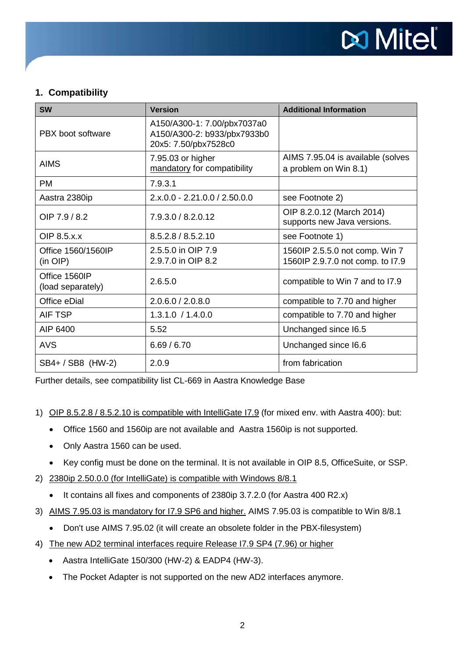

# **1. Compatibility**

| <b>SW</b>                          | <b>Version</b>                                                                     | <b>Additional Information</b>                                      |
|------------------------------------|------------------------------------------------------------------------------------|--------------------------------------------------------------------|
| PBX boot software                  | A150/A300-1: 7.00/pbx7037a0<br>A150/A300-2: b933/pbx7933b0<br>20x5: 7.50/pbx7528c0 |                                                                    |
| <b>AIMS</b>                        | 7.95.03 or higher<br>mandatory for compatibility                                   | AIMS 7.95.04 is available (solves<br>a problem on Win 8.1)         |
| <b>PM</b>                          | 7.9.3.1                                                                            |                                                                    |
| Aastra 2380ip                      | $2.x.0.0 - 2.21.0.0 / 2.50.0.0$                                                    | see Footnote 2)                                                    |
| OIP 7.9 / 8.2                      | 7.9.3.0 / 8.2.0.12                                                                 | OIP 8.2.0.12 (March 2014)<br>supports new Java versions.           |
| OIP 8.5.x.x                        | 8.5.2.8 / 8.5.2.10                                                                 | see Footnote 1)                                                    |
| Office 1560/1560IP<br>$(in$ $OIP)$ | 2.5.5.0 in OIP 7.9<br>2.9.7.0 in OIP 8.2                                           | 1560IP 2.5.5.0 not comp. Win 7<br>1560IP 2.9.7.0 not comp. to I7.9 |
| Office 1560IP<br>(load separately) | 2.6.5.0                                                                            | compatible to Win 7 and to I7.9                                    |
| Office eDial                       | 2.0.6.0 / 2.0.8.0                                                                  | compatible to 7.70 and higher                                      |
| AIF TSP                            | 1.3.1.0 / 1.4.0.0                                                                  | compatible to 7.70 and higher                                      |
| AIP 6400                           | 5.52                                                                               | Unchanged since 16.5                                               |
| <b>AVS</b>                         | 6.69 / 6.70                                                                        | Unchanged since 16.6                                               |
| SB4+ / SB8 (HW-2)                  | 2.0.9                                                                              | from fabrication                                                   |

Further details, see compatibility list CL-669 in Aastra Knowledge Base

#### 1) OIP 8.5.2.8 / 8.5.2.10 is compatible with IntelliGate I7.9 (for mixed env. with Aastra 400): but:

- Office 1560 and 1560ip are not available and Aastra 1560ip is not supported.
- Only Aastra 1560 can be used.
- Key config must be done on the terminal. It is not available in OIP 8.5, OfficeSuite, or SSP.
- 2) 2380ip 2.50.0.0 (for IntelliGate) is compatible with Windows 8/8.1
	- It contains all fixes and components of 2380ip 3.7.2.0 (for Aastra 400 R2.x)
- 3) AIMS 7.95.03 is mandatory for I7.9 SP6 and higher. AIMS 7.95.03 is compatible to Win 8/8.1
	- Don't use AIMS 7.95.02 (it will create an obsolete folder in the PBX-filesystem)
- 4) The new AD2 terminal interfaces require Release I7.9 SP4 (7.96) or higher
	- Aastra IntelliGate 150/300 (HW-2) & EADP4 (HW-3).
	- The Pocket Adapter is not supported on the new AD2 interfaces anymore.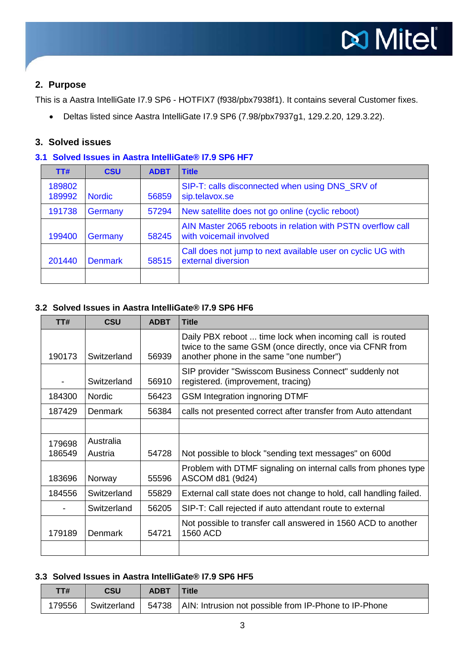# **2. Purpose**

This is a Aastra IntelliGate I7.9 SP6 - HOTFIX7 (f938/pbx7938f1). It contains several Customer fixes.

• Deltas listed since Aastra IntelliGate I7.9 SP6 (7.98/pbx7937g1, 129.2.20, 129.3.22).

# **3. Solved issues**

#### **3.1 Solved Issues in Aastra IntelliGate® I7.9 SP6 HF7**

| TT#              | <b>CSU</b>     | <b>ADBT</b> | <b>Title</b>                                                                           |
|------------------|----------------|-------------|----------------------------------------------------------------------------------------|
| 189802<br>189992 | <b>Nordic</b>  | 56859       | SIP-T: calls disconnected when using DNS_SRV of<br>sip.telavox.se                      |
| 191738           | Germany        | 57294       | New satellite does not go online (cyclic reboot)                                       |
| 199400           | Germany        | 58245       | AIN Master 2065 reboots in relation with PSTN overflow call<br>with voicemail involved |
| 201440           | <b>Denmark</b> | 58515       | Call does not jump to next available user on cyclic UG with<br>external diversion      |
|                  |                |             |                                                                                        |

## **3.2 Solved Issues in Aastra IntelliGate® I7.9 SP6 HF6**

| TT#    | CSU            | <b>ADBT</b> | <b>Title</b>                                                                                                                                                    |
|--------|----------------|-------------|-----------------------------------------------------------------------------------------------------------------------------------------------------------------|
| 190173 | Switzerland    | 56939       | Daily PBX reboot  time lock when incoming call is routed<br>twice to the same GSM (once directly, once via CFNR from<br>another phone in the same "one number") |
|        | Switzerland    | 56910       | SIP provider "Swisscom Business Connect" suddenly not<br>registered. (improvement, tracing)                                                                     |
| 184300 | <b>Nordic</b>  | 56423       | <b>GSM Integration ingnoring DTMF</b>                                                                                                                           |
| 187429 | <b>Denmark</b> | 56384       | calls not presented correct after transfer from Auto attendant                                                                                                  |
|        |                |             |                                                                                                                                                                 |
| 179698 | Australia      |             |                                                                                                                                                                 |
| 186549 | Austria        | 54728       | Not possible to block "sending text messages" on 600d                                                                                                           |
| 183696 | Norway         | 55596       | Problem with DTMF signaling on internal calls from phones type<br>ASCOM d81 (9d24)                                                                              |
| 184556 | Switzerland    | 55829       | External call state does not change to hold, call handling failed.                                                                                              |
|        | Switzerland    | 56205       | SIP-T: Call rejected if auto attendant route to external                                                                                                        |
| 179189 | <b>Denmark</b> | 54721       | Not possible to transfer call answered in 1560 ACD to another<br>1560 ACD                                                                                       |
|        |                |             |                                                                                                                                                                 |

#### **3.3 Solved Issues in Aastra IntelliGate® I7.9 SP6 HF5**

| TT# | <b>CSU</b> | <b>ADBT</b> | <b>Title</b>                                                                       |
|-----|------------|-------------|------------------------------------------------------------------------------------|
|     |            |             | 179556 Switzerland   54738   AIN: Intrusion not possible from IP-Phone to IP-Phone |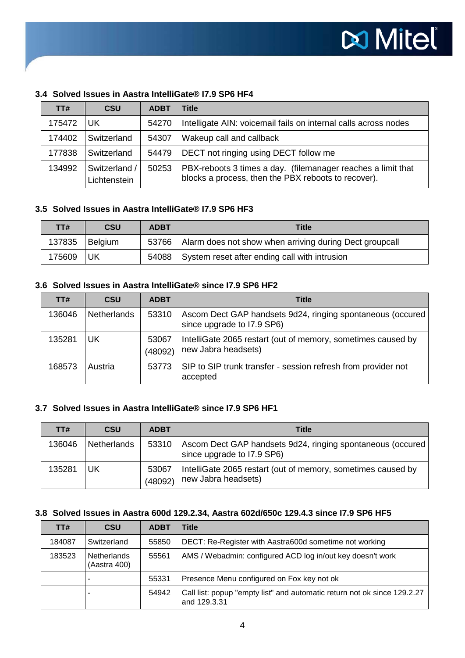| TT#    | <b>CSU</b>    | <b>ADBT</b> | <b>Title</b>                                                    |
|--------|---------------|-------------|-----------------------------------------------------------------|
| 175472 | <b>UK</b>     | 54270       | Intelligate AIN: voicemail fails on internal calls across nodes |
| 174402 | Switzerland   | 54307       | Wakeup call and callback                                        |
| 177838 | Switzerland   | 54479       | DECT not ringing using DECT follow me                           |
| 134992 | Switzerland / | 50253       | PBX-reboots 3 times a day. (filemanager reaches a limit that    |
|        | Lichtenstein  |             | blocks a process, then the PBX reboots to recover).             |

# **3.4 Solved Issues in Aastra IntelliGate® I7.9 SP6 HF4**

#### **3.5 Solved Issues in Aastra IntelliGate® I7.9 SP6 HF3**

| TT#    | <b>CSU</b> | <b>ADBT</b> | <b>Title</b>                                            |
|--------|------------|-------------|---------------------------------------------------------|
| 137835 | Belgium    | 53766       | Alarm does not show when arriving during Dect groupcall |
| 175609 | l UK       | 54088       | System reset after ending call with intrusion           |

#### **3.6 Solved Issues in Aastra IntelliGate® since I7.9 SP6 HF2**

| TT#    | <b>CSU</b>  | <b>ADBT</b>      | <b>Title</b>                                                                             |
|--------|-------------|------------------|------------------------------------------------------------------------------------------|
| 136046 | Netherlands | 53310            | Ascom Dect GAP handsets 9d24, ringing spontaneous (occured<br>since upgrade to I7.9 SP6) |
| 135281 | UK          | 53067<br>(48092) | IntelliGate 2065 restart (out of memory, sometimes caused by<br>new Jabra headsets)      |
| 168573 | Austria     | 53773            | SIP to SIP trunk transfer - session refresh from provider not<br>accepted                |

#### **3.7 Solved Issues in Aastra IntelliGate® since I7.9 SP6 HF1**

| TT#    | <b>CSU</b>  | <b>ADBT</b>      | <b>Title</b>                                                                             |
|--------|-------------|------------------|------------------------------------------------------------------------------------------|
| 136046 | Netherlands | 53310            | Ascom Dect GAP handsets 9d24, ringing spontaneous (occured<br>since upgrade to I7.9 SP6) |
| 135281 | UK          | 53067<br>(48092) | IntelliGate 2065 restart (out of memory, sometimes caused by<br>new Jabra headsets)      |

#### **3.8 Solved Issues in Aastra 600d 129.2.34, Aastra 602d/650c 129.4.3 since I7.9 SP6 HF5**

| TT#    | <b>CSU</b>                         | <b>ADBT</b> | <b>Title</b>                                                                             |
|--------|------------------------------------|-------------|------------------------------------------------------------------------------------------|
| 184087 | Switzerland                        | 55850       | DECT: Re-Register with Aastra600d sometime not working                                   |
| 183523 | <b>Netherlands</b><br>(Aastra 400) | 55561       | AMS / Webadmin: configured ACD log in/out key doesn't work                               |
|        |                                    | 55331       | Presence Menu configured on Fox key not ok                                               |
|        |                                    | 54942       | Call list: popup "empty list" and automatic return not ok since 129.2.27<br>and 129.3.31 |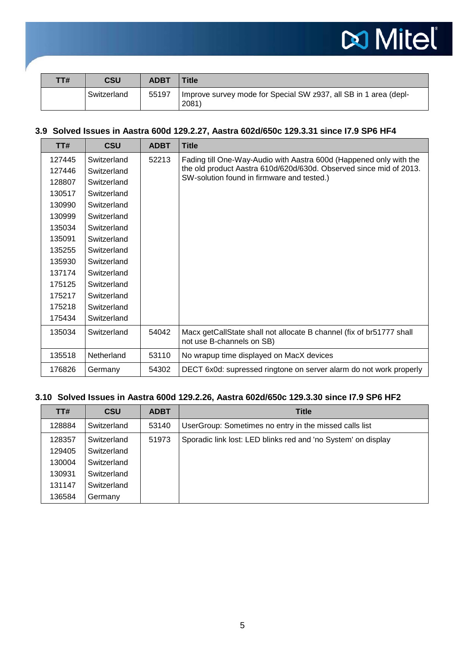

| TT# | CSU         | <b>ADBT</b> | <b>Title</b>                                                             |
|-----|-------------|-------------|--------------------------------------------------------------------------|
|     | Switzerland | 55197       | Improve survey mode for Special SW z937, all SB in 1 area (depl-<br>2081 |

# **3.9 Solved Issues in Aastra 600d 129.2.27, Aastra 602d/650c 129.3.31 since I7.9 SP6 HF4**

| TT#    | <b>CSU</b>  | <b>ADBT</b> | <b>Title</b>                                                                                                                                                                           |
|--------|-------------|-------------|----------------------------------------------------------------------------------------------------------------------------------------------------------------------------------------|
| 127445 | Switzerland | 52213       | Fading till One-Way-Audio with Aastra 600d (Happened only with the<br>the old product Aastra 610d/620d/630d. Observed since mid of 2013.<br>SW-solution found in firmware and tested.) |
| 127446 | Switzerland |             |                                                                                                                                                                                        |
| 128807 | Switzerland |             |                                                                                                                                                                                        |
| 130517 | Switzerland |             |                                                                                                                                                                                        |
| 130990 | Switzerland |             |                                                                                                                                                                                        |
| 130999 | Switzerland |             |                                                                                                                                                                                        |
| 135034 | Switzerland |             |                                                                                                                                                                                        |
| 135091 | Switzerland |             |                                                                                                                                                                                        |
| 135255 | Switzerland |             |                                                                                                                                                                                        |
| 135930 | Switzerland |             |                                                                                                                                                                                        |
| 137174 | Switzerland |             |                                                                                                                                                                                        |
| 175125 | Switzerland |             |                                                                                                                                                                                        |
| 175217 | Switzerland |             |                                                                                                                                                                                        |
| 175218 | Switzerland |             |                                                                                                                                                                                        |
| 175434 | Switzerland |             |                                                                                                                                                                                        |
| 135034 | Switzerland | 54042       | Macx getCallState shall not allocate B channel (fix of br51777 shall<br>not use B-channels on SB)                                                                                      |
| 135518 | Netherland  | 53110       | No wrapup time displayed on MacX devices                                                                                                                                               |
| 176826 | Germany     | 54302       | DECT 6x0d: supressed ringtone on server alarm do not work properly                                                                                                                     |

# **3.10 Solved Issues in Aastra 600d 129.2.26, Aastra 602d/650c 129.3.30 since I7.9 SP6 HF2**

| TT#    | <b>CSU</b>  | <b>ADBT</b> | <b>Title</b>                                                  |
|--------|-------------|-------------|---------------------------------------------------------------|
| 128884 | Switzerland | 53140       | UserGroup: Sometimes no entry in the missed calls list        |
| 128357 | Switzerland | 51973       | Sporadic link lost: LED blinks red and 'no System' on display |
| 129405 | Switzerland |             |                                                               |
| 130004 | Switzerland |             |                                                               |
| 130931 | Switzerland |             |                                                               |
| 131147 | Switzerland |             |                                                               |
| 136584 | Germany     |             |                                                               |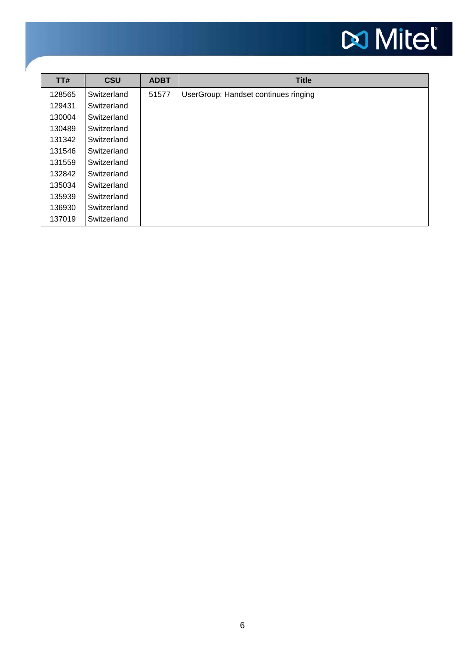# **Do Mitel**

| TT#    | <b>CSU</b>  | <b>ADBT</b> | <b>Title</b>                         |
|--------|-------------|-------------|--------------------------------------|
| 128565 | Switzerland | 51577       | UserGroup: Handset continues ringing |
| 129431 | Switzerland |             |                                      |
| 130004 | Switzerland |             |                                      |
| 130489 | Switzerland |             |                                      |
| 131342 | Switzerland |             |                                      |
| 131546 | Switzerland |             |                                      |
| 131559 | Switzerland |             |                                      |
| 132842 | Switzerland |             |                                      |
| 135034 | Switzerland |             |                                      |
| 135939 | Switzerland |             |                                      |
| 136930 | Switzerland |             |                                      |
| 137019 | Switzerland |             |                                      |